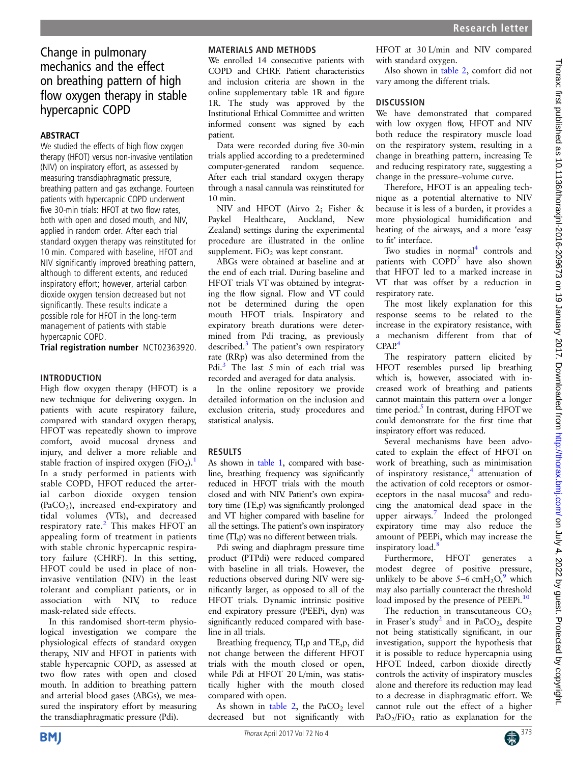# Change in pulmonary mechanics and the effect on breathing pattern of high flow oxygen therapy in stable hypercapnic COPD

#### ABSTRACT

We studied the effects of high flow oxygen therapy (HFOT) versus non-invasive ventilation (NIV) on inspiratory effort, as assessed by measuring transdiaphragmatic pressure, breathing pattern and gas exchange. Fourteen patients with hypercapnic COPD underwent five 30-min trials: HFOT at two flow rates, both with open and closed mouth, and NIV, applied in random order. After each trial standard oxygen therapy was reinstituted for 10 min. Compared with baseline, HFOT and NIV significantly improved breathing pattern, although to different extents, and reduced inspiratory effort; however, arterial carbon dioxide oxygen tension decreased but not significantly. These results indicate a possible role for HFOT in the long-term management of patients with stable hypercapnic COPD.

Trial registration number NCT02363920.

#### INTRODUCTION

High flow oxygen therapy (HFOT) is a new technique for delivering oxygen. In patients with acute respiratory failure, compared with standard oxygen therapy, HFOT was repeatedly shown to improve comfort, avoid mucosal dryness and injury, and deliver a more reliable and stable fraction of inspired oxygen  $(FiO<sub>2</sub>)$ .<sup>[1](#page-2-0)</sup> In a study performed in patients with stable COPD, HFOT reduced the arterial carbon dioxide oxygen tension  $(PaCO<sub>2</sub>)$ , increased end-expiratory and tidal volumes (VTs), and decreased respiratory rate.<sup>[2](#page-2-0)</sup> This makes HFOT an appealing form of treatment in patients with stable chronic hypercapnic respiratory failure (CHRF). In this setting, HFOT could be used in place of noninvasive ventilation (NIV) in the least tolerant and compliant patients, or in association with NIV, to reduce mask-related side effects.

In this randomised short-term physiological investigation we compare the physiological effects of standard oxygen therapy, NIV and HFOT in patients with stable hypercapnic COPD, as assessed at two flow rates with open and closed mouth. In addition to breathing pattern and arterial blood gases (ABGs), we measured the inspiratory effort by measuring the transdiaphragmatic pressure (Pdi).

## MATERIALS AND METHODS

We enrolled 14 consecutive patients with COPD and CHRF. Patient characteristics and inclusion criteria are shown in the online [supplementary table 1R and](http://dx.doi.org/10.1136/thoraxjnl-2016-209673) figure [1R](http://dx.doi.org/10.1136/thoraxjnl-2016-209673). The study was approved by the Institutional Ethical Committee and written informed consent was signed by each patient.

Data were recorded during five 30-min trials applied according to a predetermined computer-generated random sequence. After each trial standard oxygen therapy through a nasal cannula was reinstituted for 10 min.

NIV and HFOT (Airvo 2; Fisher & Paykel Healthcare, Auckland, New Zealand) settings during the experimental procedure are illustrated in the online [supplement](http://dx.doi.org/10.1136/thoraxjnl-2016-209673).  $FiO<sub>2</sub>$  was kept constant.

ABGs were obtained at baseline and at the end of each trial. During baseline and HFOT trials VT was obtained by integrating the flow signal. Flow and VT could not be determined during the open mouth HFOT trials. Inspiratory and expiratory breath durations were determined from Pdi tracing, as previously described.<sup>[3](#page-2-0)</sup> The patient's own respiratory rate (RRp) was also determined from the Pdi.<sup>[3](#page-2-0)</sup> The last 5 min of each trial was recorded and averaged for data analysis.

In the online repository we provide detailed information on the inclusion and exclusion criteria, study procedures and statistical analysis.

### RESULTS

As shown in [table 1,](#page-1-0) compared with baseline, breathing frequency was significantly reduced in HFOT trials with the mouth closed and with NIV. Patient's own expiratory time (TE,p) was significantly prolonged and VT higher compared with baseline for all the settings. The patient's own inspiratory time (TI,p) was no different between trials.

Pdi swing and diaphragm pressure time product (PTPdi) were reduced compared with baseline in all trials. However, the reductions observed during NIV were significantly larger, as opposed to all of the HFOT trials. Dynamic intrinsic positive end expiratory pressure (PEEPi, dyn) was significantly reduced compared with baseline in all trials.

Breathing frequency, TI,p and TE,p, did not change between the different HFOT trials with the mouth closed or open, while Pdi at HFOT 20 L/min, was statistically higher with the mouth closed compared with open.

As shown in [table 2,](#page-1-0) the PaCO<sub>2</sub> level decreased but not significantly with HFOT at 30 L/min and NIV compared with standard oxygen.

Also shown in [table 2](#page-1-0), comfort did not vary among the different trials.

### **DISCUSSION**

We have demonstrated that compared with low oxygen flow, HFOT and NIV both reduce the respiratory muscle load on the respiratory system, resulting in a change in breathing pattern, increasing Te and reducing respiratory rate, suggesting a change in the pressure–volume curve.

Therefore, HFOT is an appealing technique as a potential alternative to NIV because it is less of a burden, it provides a more physiological humidification and heating of the airways, and a more 'easy to fit' interface.

Two studies in normal<sup>4</sup> controls and patients with COPD<sup>[2](#page-2-0)</sup> have also shown that HFOT led to a marked increase in VT that was offset by a reduction in respiratory rate.

The most likely explanation for this response seems to be related to the increase in the expiratory resistance, with a mechanism different from that of  $CPAP<sup>4</sup>$  $CPAP<sup>4</sup>$  $CPAP<sup>4</sup>$ 

The respiratory pattern elicited by HFOT resembles pursed lip breathing which is, however, associated with increased work of breathing and patients cannot maintain this pattern over a longer time period. $\frac{5}{5}$  In contrast, during HFOT we could demonstrate for the first time that inspiratory effort was reduced.

Several mechanisms have been advocated to explain the effect of HFOT on work of breathing, such as minimisation of inspiratory resistance,<sup>[4](#page-2-0)</sup> attenuation of the activation of cold receptors or osmor-eceptors in the nasal mucosa<sup>[6](#page-2-0)</sup> and reducing the anatomical dead space in the upper airways.<sup>[7](#page-2-0)</sup> Indeed the prolonged expiratory time may also reduce the amount of PEEPi, which may increase the inspiratory load.<sup>[8](#page-2-0)</sup>

Furthermore, HFOT generates a modest degree of positive pressure, unlikely to be above  $5-6$  cmH<sub>2</sub>O<sub>2</sub><sup>[9](#page-2-0)</sup> which may also partially counteract the threshold load imposed by the presence of PEEPi.<sup>[10](#page-2-0)</sup>

The reduction in transcutaneous  $CO<sub>2</sub>$ in Fraser's study<sup>2</sup> and in PaCO<sub>2</sub>, despite not being statistically significant, in our investigation, support the hypothesis that it is possible to reduce hypercapnia using HFOT. Indeed, carbon dioxide directly controls the activity of inspiratory muscles alone and therefore its reduction may lead to a decrease in diaphragmatic effort. We cannot rule out the effect of a higher  $PaO<sub>2</sub>/FiO<sub>2</sub>$  ratio as explanation for the

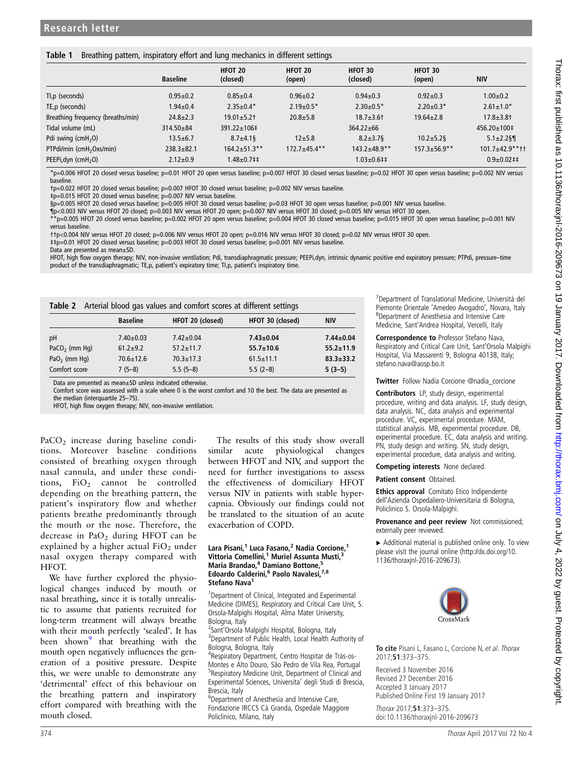#### <span id="page-1-0"></span>Table 1 Breathing pattern, inspiratory effort and lung mechanics in different settings

|                                      | <b>Baseline</b> | HFOT 20<br>(closed)      | HFOT 20<br>(open) | HFOT 30<br>(closed)       | HFOT 30<br>(open) | <b>NIV</b>               |
|--------------------------------------|-----------------|--------------------------|-------------------|---------------------------|-------------------|--------------------------|
| Tl,p (seconds)                       | $0.95 + 0.2$    | $0.85 + 0.4$             | $0.96 \pm 0.2$    | $0.94 \pm 0.3$            | $0.92 \pm 0.3$    | $1.00 + 0.2$             |
| TE, p (seconds)                      | $1.94 \pm 0.4$  | $2.35 \pm 0.4*$          | $2.19 \pm 0.5*$   | $2.30 \pm 0.5*$           | $2.20 \pm 0.3*$   | $2.61 \pm 1.0^*$         |
| Breathing frequency (breaths/min)    | $24.8 + 2.3$    | $19.01 + 5.2$            | $20.8 + 5.8$      | $18.7 + 3.6$ <sup>+</sup> | $19.64 \pm 2.8$   | $17.8 + 3.8$             |
| Tidal volume (mL)                    | 314.50±84       | $391.22 \pm 106 \pm 100$ |                   | $364.22 \pm 66$           |                   | $456.20 \pm 100 \pm 100$ |
| Pdi swing $(cmH2O)$                  | $13.5 \pm 6.7$  | $8.7 \pm 4.1$ §          | $12 + 5.8$        | $8.2 \pm 3.7$             | $10.2 + 5.2$      | $5.1 \pm 2.2$ §          |
| PTPdi/min (cmH <sub>2</sub> Oxs/min) | $238.3 + 82.1$  | $164.2 + 51.3$ **        | $172.7 + 45.4$ ** | $143.2 + 48.9$ **         | $157.3 + 56.9**$  | $101.7 + 42.9$ **††      |
| PEEPi, dyn $(cmH2O)$                 | $2.12 \pm 0.9$  | $1.48 + 0.7$ ##          |                   | $1.03 \pm 0.6$ ##         |                   | $0.9+0.02$ ##            |

\*p=0.006 HFOT 20 closed versus baseline; p=0.01 HFOT 20 open versus baseline; p=0.007 HFOT 30 closed versus baseline; p=0.02 HFOT 30 open versus baseline; p=0.002 NIV versus baseline.

†p=0.022 HFOT 20 closed versus baseline; p=0.007 HFOT 30 closed versus baseline; p=0.002 NIV versus baseline.

‡p=0.015 HFOT 20 closed versus baseline; p=0.007 NIV versus baseline.

§p=0.005 HFOT 20 closed versus baseline; p=0.005 HFOT 30 closed versus baseline; p=0.03 HFOT 30 open versus baseline; p=0.001 NIV versus baseline.

¶p<0.003 NIV versus HFOT 20 closed; p=0.003 NIV versus HFOT 20 open; p=0.007 NIV versus HFOT 30 closed; p=0.005 NIV versus HFOT 30 open.

\*\*p=0.005 HFOT 20 closed versus baseline; p=0.002 HFOT 20 open versus baseline; p=0.004 HFOT 30 closed versus baseline; p=0.015 HFOT 30 open versus baseline; p=0.001 NIV versus baseline.

††p<0.004 NIV versus HFOT 20 closed; p=0.006 NIV versus HFOT 20 open; p=0.016 NIV versus HFOT 30 closed; p=0.02 NIV versus HFOT 30 open.

‡‡p=0.01 HFOT 20 closed versus baseline; p=0.003 HFOT 30 closed versus baseline; p=0.001 NIV versus baseline.

Data are presented as mean±SD.

HFOT, high flow oxygen therapy; NIV, non-invasive ventilation; Pdi, transdiaphragmatic pressure; PEEPi,dyn, intrinsic dynamic positive end expiratory pressure; PTPdi, pressure–time product of the transdiaphragmatic; TE,p, patient's expiratory time; TI,p, patient's inspiratory time.

| Table 2 Arterial blood gas values and comfort scores at different settings |                 |                  |                  |                 |  |  |  |
|----------------------------------------------------------------------------|-----------------|------------------|------------------|-----------------|--|--|--|
|                                                                            | <b>Baseline</b> | HFOT 20 (closed) | HFOT 30 (closed) | <b>NIV</b>      |  |  |  |
| pH                                                                         | $7.40 \pm 0.03$ | $7.42 \pm 0.04$  | $7.43 \pm 0.04$  | $7.44 \pm 0.04$ |  |  |  |
| PaCO <sub>2</sub> (mm Hq)                                                  | $61.2 + 9.2$    | $57.2 + 11.7$    | $55.7 \pm 10.6$  | $55.2 \pm 11.9$ |  |  |  |
| PaO <sub>2</sub> (mm Hg)                                                   | $70.6 + 12.6$   | $70.3 + 17.3$    | $61.5 \pm 11.1$  | $83.3 + 33.2$   |  |  |  |
| Comfort score                                                              | $7(5-8)$        | $5.5(5-8)$       | $5.5(2-8)$       | $5(3-5)$        |  |  |  |

Data are presented as mean±SD unless indicated otherwise.

Comfort score was assessed with a scale where 0 is the worst comfort and 10 the best. The data are presented as the median (interquartile 25-75).

HFOT, high flow oxygen therapy; NIV, non-invasive ventilation.

PaCO<sub>2</sub> increase during baseline conditions. Moreover baseline conditions consisted of breathing oxygen through nasal cannula, and under these conditions, FiO<sub>2</sub> cannot be controlled depending on the breathing pattern, the patient's inspiratory flow and whether patients breathe predominantly through the mouth or the nose. Therefore, the decrease in PaO<sub>2</sub> during HFOT can be explained by a higher actual  $FiO<sub>2</sub>$  under nasal oxygen therapy compared with HFOT.

We have further explored the physiological changes induced by mouth or nasal breathing, since it is totally unrealistic to assume that patients recruited for long-term treatment will always breathe with their mouth perfectly 'sealed'. It has been shown<sup>[9](#page-2-0)</sup> that breathing with the mouth open negatively influences the generation of a positive pressure. Despite this, we were unable to demonstrate any 'detrimental' effect of this behaviour on the breathing pattern and inspiratory effort compared with breathing with the mouth closed.

The results of this study show overall similar acute physiological changes between HFOT and NIV, and support the need for further investigations to assess the effectiveness of domiciliary HFOT versus NIV in patients with stable hypercapnia. Obviously our findings could not be translated to the situation of an acute exacerbation of COPD.

#### Lara Pisani,<sup>1</sup> Luca Fasano,<sup>2</sup> Nadia Corcione,<sup>1</sup> Vittoria Comellini,<sup>1</sup> Muriel Assunta Musti, Maria Brandao,<sup>4</sup> Damiano Bottone, Edoardo Calderini,<sup>6</sup> Paolo Navalesi,<sup>7,8</sup> Stefano Nava<sup>1</sup>

<sup>1</sup>Department of Clinical, Integrated and Experimental Medicine (DIMES), Respiratory and Critical Care Unit, S. Orsola-Malpighi Hospital, Alma Mater University, Bologna, Italy

<sup>2</sup> Sant'Orsola Malpighi Hospital, Bologna, Italy <sup>3</sup>Department of Public Health, Local Health Authority of Bologna, Bologna, Italy

4 Respiratory Department, Centro Hospitar de Tràs-os-Montes e Alto Douro, São Pedro de Vila Rea, Portugal <sup>5</sup>Respiratory Medicine Unit, Department of Clinical and Experimental Sciences, Universita' degli Studi di Brescia, Brescia, Italy

6 Department of Anesthesia and Intensive Care, Fondazione IRCCS Cà Granda, Ospedale Maggiore Policlinico, Milano, Italy

7 Department of Translational Medicine, Università del Piemonte Orientale 'Amedeo Avogadro', Novara, Italy <sup>8</sup> <sup>8</sup>Department of Anesthesia and Intensive Care Medicine, Sant'Andrea Hospital, Vercelli, Italy

Correspondence to Professor Stefano Nava, Respiratory and Critical Care Unit, Sant'Orsola Malpighi Hospital, Via Massarenti 9, Bologna 40138, Italy; stefano.nava@aosp.bo.it

Twitter Follow Nadia Corcione [@nadia\\_corcione](http://twitter.com/nadia_corcione)

Contributors LP, study design, experimental procedure, writing and data analysis. LF, study design, data analysis. NC, data analysis and experimental procedure. VC, experimental procedure. MAM, statistical analysis. MB, experimental procedure. DB, experimental procedure. EC, data analysis and writing. PN, study design and writing. SN, study design, experimental procedure, data analysis and writing.

Competing interests None declared.

Patient consent Obtained.

**Ethics approval** Comitato Etico Indipendente dell'Azienda Ospedaliero-Universitaria di Bologna, Policlinico S. Orsola-Malpighi.

#### Provenance and peer review Not commissioned; externally peer reviewed.

▶ Additional material is published online only. To view please visit the journal online [\(http://dx.doi.org/10.](http://dx.doi.org/10.1136/thoraxjnl-2016-209673) [1136/thoraxjnl-2016-209673\)](http://dx.doi.org/10.1136/thoraxjnl-2016-209673).



**To cite** Pisani L, Fasano L, Corcione N, et al. Thorax 2017;**51**:373–375.

Received 3 November 2016 Revised 27 December 2016 Accepted 3 January 2017 Published Online First 19 January 2017

Thorax 2017;**51**:373–375. doi:10.1136/thoraxjnl-2016-209673